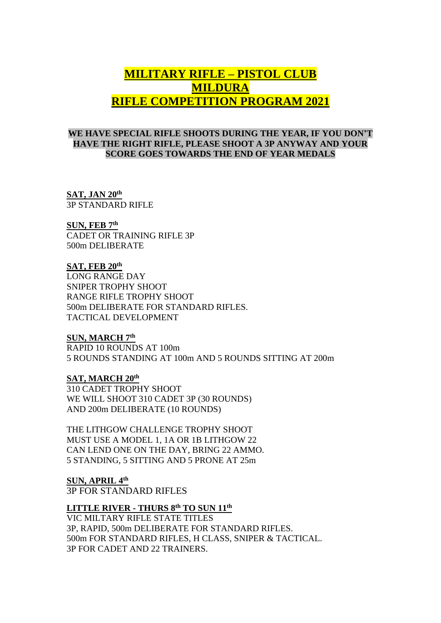# **MILITARY RIFLE – PISTOL CLUB MILDURA RIFLE COMPETITION PROGRAM 2021**

## **WE HAVE SPECIAL RIFLE SHOOTS DURING THE YEAR, IF YOU DON'T HAVE THE RIGHT RIFLE, PLEASE SHOOT A 3P ANYWAY AND YOUR SCORE GOES TOWARDS THE END OF YEAR MEDALS**

**SAT, JAN 20th** 3P STANDARD RIFLE

**SUN, FEB 7 th**

CADET OR TRAINING RIFLE 3P 500m DELIBERATE

## **SAT, FEB 20th**

LONG RANGE DAY SNIPER TROPHY SHOOT RANGE RIFLE TROPHY SHOOT 500m DELIBERATE FOR STANDARD RIFLES. TACTICAL DEVELOPMENT

## **SUN, MARCH 7 th**

RAPID 10 ROUNDS AT 100m 5 ROUNDS STANDING AT 100m AND 5 ROUNDS SITTING AT 200m

**SAT, MARCH 20 th** 310 CADET TROPHY SHOOT WE WILL SHOOT 310 CADET 3P (30 ROUNDS) AND 200m DELIBERATE (10 ROUNDS)

THE LITHGOW CHALLENGE TROPHY SHOOT MUST USE A MODEL 1, 1A OR 1B LITHGOW 22 CAN LEND ONE ON THE DAY, BRING 22 AMMO. 5 STANDING, 5 SITTING AND 5 PRONE AT 25m

**SUN, APRIL 4 th** 3P FOR STANDARD RIFLES

## **LITTLE RIVER - THURS 8 th TO SUN 11 th**

VIC MILTARY RIFLE STATE TITLES 3P, RAPID, 500m DELIBERATE FOR STANDARD RIFLES. 500m FOR STANDARD RIFLES, H CLASS, SNIPER & TACTICAL. 3P FOR CADET AND 22 TRAINERS.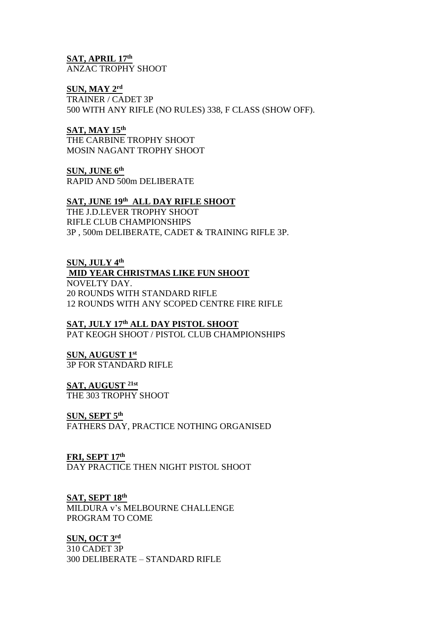**SAT, APRIL 17 th** ANZAC TROPHY SHOOT

## **SUN, MAY 2 rd**

TRAINER / CADET 3P 500 WITH ANY RIFLE (NO RULES) 338, F CLASS (SHOW OFF).

## **SAT, MAY 15 th**

THE CARBINE TROPHY SHOOT MOSIN NAGANT TROPHY SHOOT

**SUN, JUNE 6 th** RAPID AND 500m DELIBERATE

## **SAT, JUNE 19th ALL DAY RIFLE SHOOT**

THE J.D.LEVER TROPHY SHOOT RIFLE CLUB CHAMPIONSHIPS 3P , 500m DELIBERATE, CADET & TRAINING RIFLE 3P.

## **SUN, JULY 4 th**

## **MID YEAR CHRISTMAS LIKE FUN SHOOT**

NOVELTY DAY. 20 ROUNDS WITH STANDARD RIFLE 12 ROUNDS WITH ANY SCOPED CENTRE FIRE RIFLE

## **SAT, JULY 17 th ALL DAY PISTOL SHOOT**

PAT KEOGH SHOOT / PISTOL CLUB CHAMPIONSHIPS

## **SUN, AUGUST 1 st** 3P FOR STANDARD RIFLE

## **SAT, AUGUST 21st**

THE 303 TROPHY SHOOT

## **SUN, SEPT 5 th**

FATHERS DAY, PRACTICE NOTHING ORGANISED

## **FRI, SEPT 17 th**

DAY PRACTICE THEN NIGHT PISTOL SHOOT

## **SAT, SEPT 18 th**

MILDURA v's MELBOURNE CHALLENGE PROGRAM TO COME

## **SUN, OCT 3 rd**

310 CADET 3P 300 DELIBERATE – STANDARD RIFLE